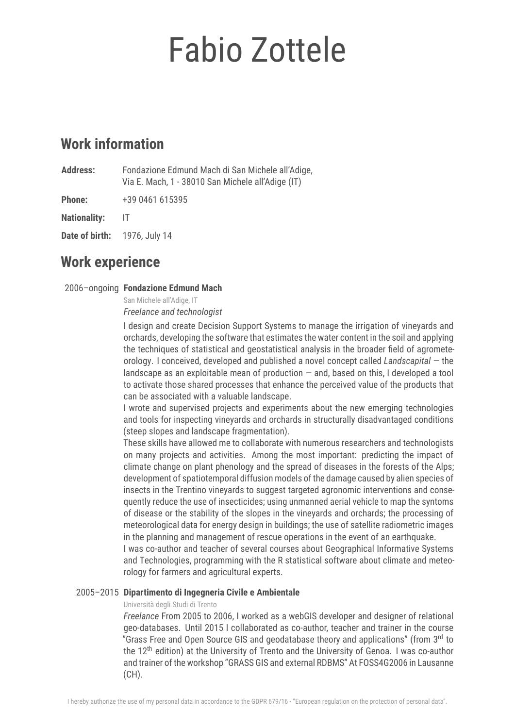# Fabio Zottele

# **Work information**

**Address:** Fondazione Edmund Mach di San Michele all'Adige, Via E. Mach, 1 - 38010 San Michele all'Adige (IT)

**Phone:** +39 0461 615395

**Nationality:** IT

**Date of birth:** 1976, July 14

# **Work experience**

# 2006–ongoing **Fondazione Edmund Mach**

San Michele all'Adige, IT *Freelance and technologist*

I design and create Decision Support Systems to manage the irrigation of vineyards and orchards, developing the software that estimates the water content in the soil and applying the techniques of statistical and geostatistical analysis in the broader field of agrometeorology. I conceived, developed and published a novel concept called *Landscapital* — the landscape as an exploitable mean of production  $-$  and, based on this, I developed a tool to activate those shared processes that enhance the perceived value of the products that can be associated with a valuable landscape.

I wrote and supervised projects and experiments about the new emerging technologies and tools for inspecting vineyards and orchards in structurally disadvantaged conditions (steep slopes and landscape fragmentation).

These skills have allowed me to collaborate with numerous researchers and technologists on many projects and activities. Among the most important: predicting the impact of climate change on plant phenology and the spread of diseases in the forests of the Alps; development of spatiotemporal diffusion models of the damage caused by alien species of insects in the Trentino vineyards to suggest targeted agronomic interventions and consequently reduce the use of insecticides; using unmanned aerial vehicle to map the syntoms of disease or the stability of the slopes in the vineyards and orchards; the processing of meteorological data for energy design in buildings; the use of satellite radiometric images in the planning and management of rescue operations in the event of an earthquake. I was co-author and teacher of several courses about Geographical Informative Systems

and Technologies, programming with the R statistical software about climate and meteorology for farmers and agricultural experts.

# 2005–2015 **Dipartimento di Ingegneria Civile e Ambientale**

# Università degli Studi di Trento

*Freelance* From 2005 to 2006, I worked as a webGIS developer and designer of relational geo-databases. Until 2015 I collaborated as co-author, teacher and trainer in the course "Grass Free and Open Source GIS and geodatabase theory and applications" (from 3<sup>rd</sup> to the 12<sup>th</sup> edition) at the University of Trento and the University of Genoa. I was co-author and trainer of the workshop "GRASS GIS and external RDBMS" At FOSS4G2006 in Lausanne (CH).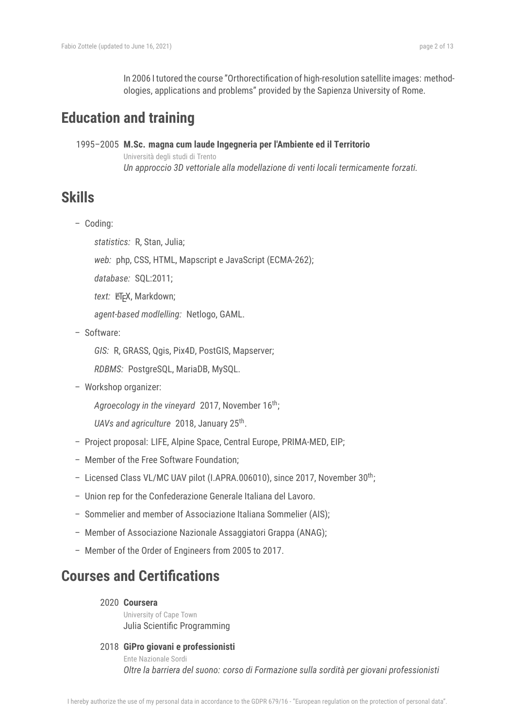In 2006 I tutored the course "Orthorectification of high-resolution satellite images: methodologies, applications and problems" provided by the Sapienza University of Rome.

# **Education and training**

1995–2005 **M.Sc. magna cum laude Ingegneria per l'Ambiente ed il Territorio** Università degli studi di Trento *Un approccio 3D vettoriale alla modellazione di venti locali termicamente forzati.*

# **Skills**

– Coding:

*statistics:* R, Stan, Julia;

*web:* php, CSS, HTML, Mapscript e JavaScript (ECMA-262);

*database:* SQL:2011;

text: LFFX, Markdown;

*agent-based modlelling:* Netlogo, GAML.

– Software:

*GIS:* R, GRASS, Qgis, Pix4D, PostGIS, Mapserver;

*RDBMS:* PostgreSQL, MariaDB, MySQL.

– Workshop organizer:

*Agroecology in the vineyard* 2017, November 16th;

UAVs and agriculture 2018, January 25<sup>th</sup>.

- Project proposal: LIFE, Alpine Space, Central Europe, PRIMA-MED, EIP;
- Member of the Free Software Foundation;
- Licensed Class VL/MC UAV pilot (I.APRA.006010), since 2017, November 30th;
- Union rep for the Confederazione Generale Italiana del Lavoro.
- Sommelier and member of Associazione Italiana Sommelier (AIS);
- Member of Associazione Nazionale Assaggiatori Grappa (ANAG);
- Member of the Order of Engineers from 2005 to 2017.

# **Courses and Certifications**

# 2020 **Coursera**

University of Cape Town Julia Scientific Programming

# 2018 **GiPro giovani e professionisti**

Ente Nazionale Sordi *Oltre la barriera del suono: corso di Formazione sulla sordità per giovani professionisti*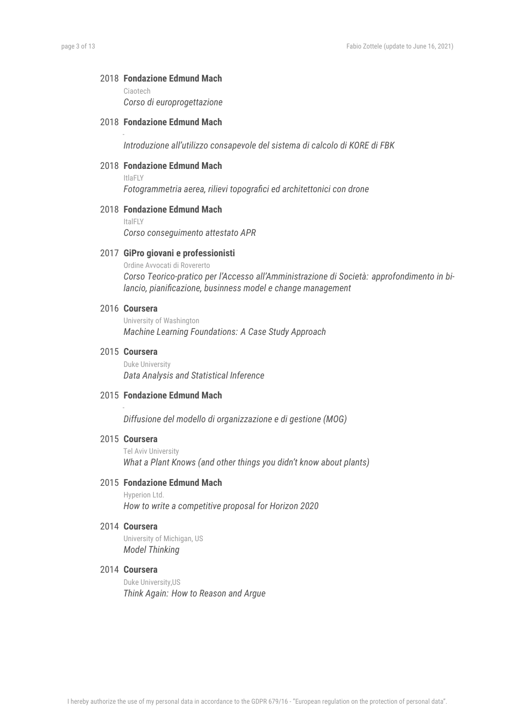#### 2018 **Fondazione Edmund Mach**

Ciaotech *Corso di europrogettazione*

# 2018 **Fondazione Edmund Mach**

*Introduzione all'utilizzo consapevole del sistema di calcolo di KORE di FBK*

# 2018 **Fondazione Edmund Mach**

ItlaFLY

-

*Fotogrammetria aerea, rilievi topografici ed architettonici con drone*

#### 2018 **Fondazione Edmund Mach**

ItalFLY

*Corso conseguimento attestato APR*

#### 2017 **GiPro giovani e professionisti**

Ordine Avvocati di Rovererto *Corso Teorico-pratico per l'Accesso all'Amministrazione di Società: approfondimento in bilancio, pianificazione, businness model e change management*

## 2016 **Coursera**

University of Washington *Machine Learning Foundations: A Case Study Approach*

#### 2015 **Coursera**

Duke University *Data Analysis and Statistical Inference*

#### 2015 **Fondazione Edmund Mach**

*Diffusione del modello di organizzazione e di gestione (MOG)*

#### 2015 **Coursera**

-

Tel Aviv University *What a Plant Knows (and other things you didn't know about plants)*

#### 2015 **Fondazione Edmund Mach**

Hyperion Ltd. *How to write a competitive proposal for Horizon 2020*

#### 2014 **Coursera**

University of Michigan, US *Model Thinking*

# 2014 **Coursera**

Duke University,US *Think Again: How to Reason and Argue*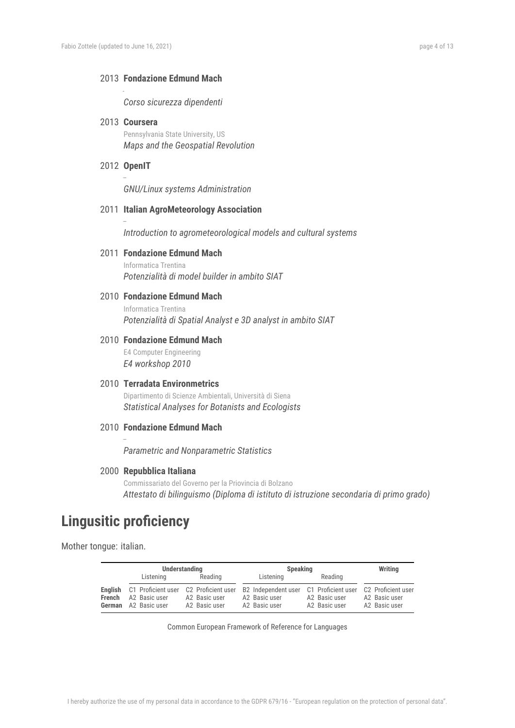#### 2013 **Fondazione Edmund Mach**

*Corso sicurezza dipendenti*

- 2013 **Coursera** Pennsylvania State University, US *Maps and the Geospatial Revolution*
- 2012 **OpenIT** –

–

-

*GNU/Linux systems Administration*

#### 2011 **Italian AgroMeteorology Association**

*Introduction to agrometeorological models and cultural systems*

#### 2011 **Fondazione Edmund Mach**

Informatica Trentina *Potenzialità di model builder in ambito SIAT*

#### 2010 **Fondazione Edmund Mach**

Informatica Trentina *Potenzialità di Spatial Analyst e 3D analyst in ambito SIAT*

## 2010 **Fondazione Edmund Mach**

E4 Computer Engineering *E4 workshop 2010*

#### 2010 **Terradata Environmetrics**

Dipartimento di Scienze Ambientali, Università di Siena *Statistical Analyses for Botanists and Ecologists*

#### 2010 **Fondazione Edmund Mach**

*Parametric and Nonparametric Statistics*

#### 2000 **Repubblica Italiana**

Commissariato del Governo per la Priovincia di Bolzano *Attestato di bilinguismo (Diploma di istituto di istruzione secondaria di primo grado)*

# **Lingusitic proficiency**

–

Mother tongue: italian.

|        | <b>Understanding</b>                                                                   |                                | <b>Speaking</b>                                                          |                                | Writing                                              |
|--------|----------------------------------------------------------------------------------------|--------------------------------|--------------------------------------------------------------------------|--------------------------------|------------------------------------------------------|
|        | Listening                                                                              | Reading                        | Listening                                                                | Reading                        |                                                      |
| French | English C1 Proficient user C2 Proficient user<br>A2 Basic user<br>German A2 Basic user | A2 Basic user<br>A2 Basic user | B2 Independent user C1 Proficient user<br>A2 Basic user<br>A2 Basic user | A2 Basic user<br>A2 Basic user | C2 Proficient user<br>A2 Basic user<br>A2 Basic user |

Common European Framework of Reference for Languages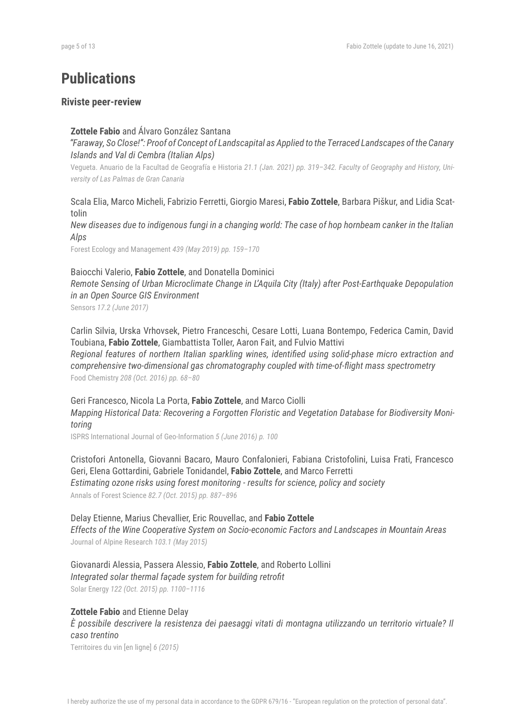# **Publications**

#### **Riviste peer-review**

## **Zottele Fabio** and Álvaro González Santana

*"Faraway, So Close!": Proof of Concept of Landscapital as Applied to the Terraced Landscapes ofthe Canary Islands and Val di Cembra (Italian Alps)*

Vegueta. Anuario de la Facultad de Geografía e Historia *21.1 (Jan. 2021) pp. 319–342. Faculty of Geography and History, University of Las Palmas de Gran Canaria*

Scala Elia, Marco Micheli, Fabrizio Ferretti, Giorgio Maresi, **Fabio Zottele**, Barbara Piškur, and Lidia Scattolin

New diseases due to indigenous fungi in a changing world: The case of hop hornbeam canker in the Italian *Alps*

Forest Ecology and Management *439 (May 2019) pp. 159–170*

#### Baiocchi Valerio, **Fabio Zottele**, and Donatella Dominici

*Remote Sensing of Urban Microclimate Change in L'Aquila City (Italy) after Post-Earthquake Depopulation in an Open Source GIS Environment*

Sensors *17.2 (June 2017)*

Carlin Silvia, Urska Vrhovsek, Pietro Franceschi, Cesare Lotti, Luana Bontempo, Federica Camin, David Toubiana, **Fabio Zottele**, Giambattista Toller, Aaron Fait, and Fulvio Mattivi *Regional features of northern Italian sparkling wines, identified using solid-phase micro extraction and comprehensive two-dimensional gas chromatography coupled with time-of-flight mass spectrometry* Food Chemistry *208 (Oct. 2016) pp. 68–80*

Geri Francesco, Nicola La Porta, **Fabio Zottele**, and Marco Ciolli *Mapping Historical Data: Recovering a Forgotten Floristic and Vegetation Database for Biodiversity Monitoring*

ISPRS International Journal of Geo-Information *5 (June 2016) p. 100*

Cristofori Antonella, Giovanni Bacaro, Mauro Confalonieri, Fabiana Cristofolini, Luisa Frati, Francesco Geri, Elena Gottardini, Gabriele Tonidandel, **Fabio Zottele**, and Marco Ferretti *Estimating ozone risks using forest monitoring - results for science, policy and society* Annals of Forest Science *82.7 (Oct. 2015) pp. 887–896*

#### Delay Etienne, Marius Chevallier, Eric Rouvellac, and **Fabio Zottele**

*Effects of the Wine Cooperative System on Socio-economic Factors and Landscapes in Mountain Areas* Journal of Alpine Research *103.1 (May 2015)*

# Giovanardi Alessia, Passera Alessio, **Fabio Zottele**, and Roberto Lollini

*Integrated solar thermal façade system for building retrofit*

Solar Energy *122 (Oct. 2015) pp. 1100–1116*

#### **Zottele Fabio** and Etienne Delay

*È possibile descrivere la resistenza dei paesaggi vitati di montagna utilizzando un territorio virtuale? Il caso trentino*

Territoires du vin [en ligne] *6 (2015)*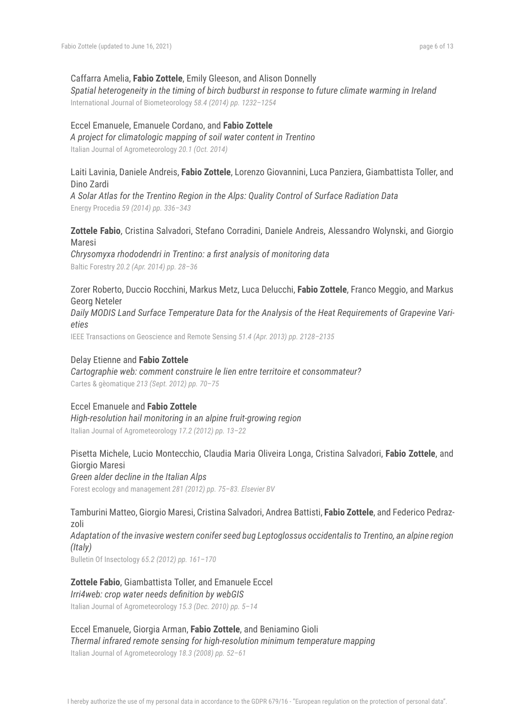#### Caffarra Amelia, **Fabio Zottele**, Emily Gleeson, and Alison Donnelly

*Spatial heterogeneity in the timing of birch budburst in response to future climate warming in Ireland* International Journal of Biometeorology *58.4 (2014) pp. 1232–1254*

#### Eccel Emanuele, Emanuele Cordano, and **Fabio Zottele**

*A project for climatologic mapping of soil water content in Trentino* Italian Journal of Agrometeorology *20.1 (Oct. 2014)*

## Laiti Lavinia, Daniele Andreis, **Fabio Zottele**, Lorenzo Giovannini, Luca Panziera, Giambattista Toller, and Dino Zardi

*A Solar Atlas for the Trentino Region in the Alps: Quality Control of Surface Radiation Data* Energy Procedia *59 (2014) pp. 336–343*

# **Zottele Fabio**, Cristina Salvadori, Stefano Corradini, Daniele Andreis, Alessandro Wolynski, and Giorgio Maresi

*Chrysomyxa rhododendri in Trentino: a first analysis of monitoring data* Baltic Forestry *20.2 (Apr. 2014) pp. 28–36*

Zorer Roberto, Duccio Rocchini, Markus Metz, Luca Delucchi, **Fabio Zottele**, Franco Meggio, and Markus Georg Neteler

*Daily MODIS Land Surface Temperature Data for the Analysis of the Heat Requirements of Grapevine Varieties*

IEEE Transactions on Geoscience and Remote Sensing *51.4 (Apr. 2013) pp. 2128–2135*

#### Delay Etienne and **Fabio Zottele**

*Cartographie web: comment construire le lien entre territoire et consommateur?* Cartes & gèomatique *213 (Sept. 2012) pp. 70–75*

#### Eccel Emanuele and **Fabio Zottele**

*High-resolution hail monitoring in an alpine fruit-growing region* Italian Journal of Agrometeorology *17.2 (2012) pp. 13–22*

# Pisetta Michele, Lucio Montecchio, Claudia Maria Oliveira Longa, Cristina Salvadori, **Fabio Zottele**, and Giorgio Maresi

*Green alder decline in the Italian Alps* Forest ecology and management *281 (2012) pp. 75–83. Elsevier BV*

Tamburini Matteo, Giorgio Maresi, Cristina Salvadori, Andrea Battisti, **Fabio Zottele**, and Federico Pedrazzoli

*Adaptation of the invasive western conifer seed bug Leptoglossus occidentalis to Trentino, an alpine region (Italy)*

Bulletin Of Insectology *65.2 (2012) pp. 161–170*

# **Zottele Fabio**, Giambattista Toller, and Emanuele Eccel

#### *Irri4web: crop water needs definition by webGIS*

Italian Journal of Agrometeorology *15.3 (Dec. 2010) pp. 5–14*

#### Eccel Emanuele, Giorgia Arman, **Fabio Zottele**, and Beniamino Gioli *Thermal infrared remote sensing for high-resolution minimum temperature mapping*

Italian Journal of Agrometeorology *18.3 (2008) pp. 52–61*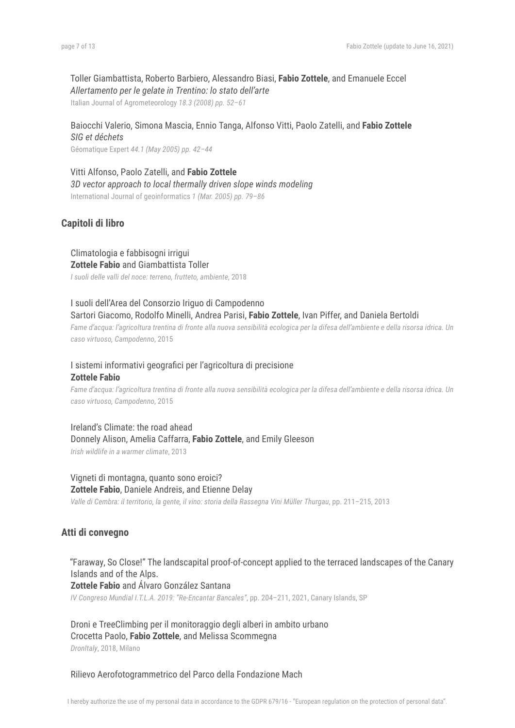#### Toller Giambattista, Roberto Barbiero, Alessandro Biasi, **Fabio Zottele**, and Emanuele Eccel *Allertamento per le gelate in Trentino: lo stato dell'arte*

Italian Journal of Agrometeorology *18.3 (2008) pp. 52–61*

# Baiocchi Valerio, Simona Mascia, Ennio Tanga, Alfonso Vitti, Paolo Zatelli, and **Fabio Zottele** *SIG et déchets*

Géomatique Expert *44.1 (May 2005) pp. 42–44*

Vitti Alfonso, Paolo Zatelli, and **Fabio Zottele** *3D vector approach to local thermally driven slope winds modeling* International Journal of geoinformatics *1 (Mar. 2005) pp. 79–86*

# **Capitoli di libro**

Climatologia e fabbisogni irrigui **Zottele Fabio** and Giambattista Toller

*I suoli delle valli del noce: terreno, frutteto, ambiente*, 2018

I suoli dell'Area del Consorzio Iriguo di Campodenno Sartori Giacomo, Rodolfo Minelli, Andrea Parisi, **Fabio Zottele**, Ivan Piffer, and Daniela Bertoldi Fame d'acqua: l'agricoltura trentina di fronte alla nuova sensibilità ecologica per la difesa dell'ambiente e della risorsa idrica. Un

*caso virtuoso, Campodenno*, 2015

# I sistemi informativi geografici per l'agricoltura di precisione **Zottele Fabio**

Fame d'acqua: l'agricoltura trentina di fronte alla nuova sensibilità ecologica per la difesa dell'ambiente e della risorsa idrica. Un *caso virtuoso, Campodenno*, 2015

Ireland's Climate: the road ahead Donnely Alison, Amelia Caffarra, **Fabio Zottele**, and Emily Gleeson

*Irish wildlife in a warmer climate*, 2013

# Vigneti di montagna, quanto sono eroici? **Zottele Fabio**, Daniele Andreis, and Etienne Delay

*Valle di Cembra: il territorio, la gente, il vino: storia della Rassegna Vini Müller Thurgau*, pp. 211–215, 2013

# **Atti di convegno**

# "Faraway, So Close!" The landscapital proof-of-concept applied to the terraced landscapes of the Canary Islands and of the Alps.

**Zottele Fabio** and Álvaro González Santana

*IV Congreso Mundial I.T.L.A. 2019: "Re-Encantar Bancales"*, pp. 204–211, 2021, Canary Islands, SP

Droni e TreeClimbing per il monitoraggio degli alberi in ambito urbano Crocetta Paolo, **Fabio Zottele**, and Melissa Scommegna *DronItaly*, 2018, Milano

Rilievo Aerofotogrammetrico del Parco della Fondazione Mach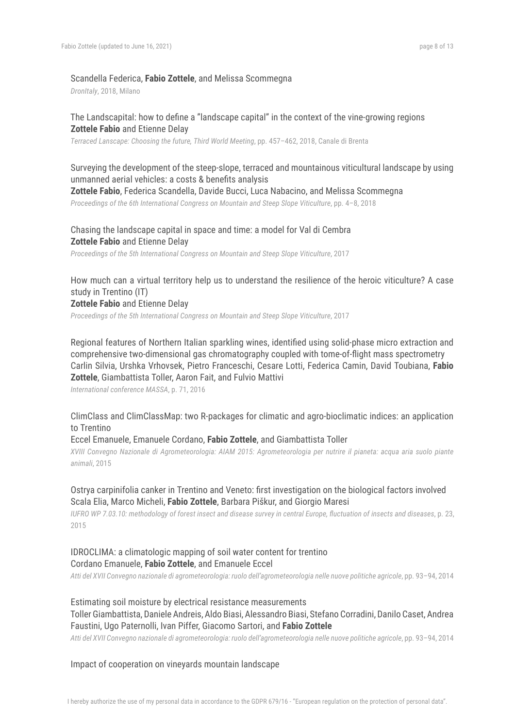#### Scandella Federica, **Fabio Zottele**, and Melissa Scommegna

*DronItaly*, 2018, Milano

## The Landscapital: how to define a "landscape capital" in the context of the vine-growing regions **Zottele Fabio** and Etienne Delay

*Terraced Lanscape: Choosing the future, Third World Meeting*, pp. 457–462, 2018, Canale di Brenta

# Surveying the development of the steep-slope, terraced and mountainous viticultural landscape by using unmanned aerial vehicles: a costs & benefits analysis

**Zottele Fabio**, Federica Scandella, Davide Bucci, Luca Nabacino, and Melissa Scommegna

*Proceedings of the 6th International Congress on Mountain and Steep Slope Viticulture*, pp. 4–8, 2018

# Chasing the landscape capital in space and time: a model for Val di Cembra **Zottele Fabio** and Etienne Delay

*Proceedings of the 5th International Congress on Mountain and Steep Slope Viticulture*, 2017

# How much can a virtual territory help us to understand the resilience of the heroic viticulture? A case study in Trentino (IT)

#### **Zottele Fabio** and Etienne Delay

*Proceedings of the 5th International Congress on Mountain and Steep Slope Viticulture*, 2017

Regional features of Northern Italian sparkling wines, identified using solid-phase micro extraction and comprehensive two-dimensional gas chromatography coupled with tome-of-flight mass spectrometry Carlin Silvia, Urshka Vrhovsek, Pietro Franceschi, Cesare Lotti, Federica Camin, David Toubiana, **Fabio Zottele**, Giambattista Toller, Aaron Fait, and Fulvio Mattivi

*International conference MASSA*, p. 71, 2016

## ClimClass and ClimClassMap: two R-packages for climatic and agro-bioclimatic indices: an application to Trentino

#### Eccel Emanuele, Emanuele Cordano, **Fabio Zottele**, and Giambattista Toller

XVIII Convegno Nazionale di Agrometeorologia: AIAM 2015: Agrometeorologia per nutrire il pianeta: acqua aria suolo piante *animali*, 2015

## Ostrya carpinifolia canker in Trentino and Veneto: first investigation on the biological factors involved Scala Elia, Marco Micheli, **Fabio Zottele**, Barbara Piškur, and Giorgio Maresi

IUFRO WP 7.03.10: methodology of forest insect and disease survey in central Europe, fluctuation of insects and diseases, p. 23, 2015

# IDROCLIMA: a climatologic mapping of soil water content for trentino Cordano Emanuele, **Fabio Zottele**, and Emanuele Eccel

*Atti del XVII Convegno nazionale di agrometeorologia: ruolo dell'agrometeorologia nelle nuove politiche agricole*, pp. 93–94, 2014

# Estimating soil moisture by electrical resistance measurements Toller Giambattista, Daniele Andreis, Aldo Biasi, Alessandro Biasi, Stefano Corradini, Danilo Caset, Andrea Faustini, Ugo Paternolli, Ivan Piffer, Giacomo Sartori, and **Fabio Zottele**

*Atti del XVII Convegno nazionale di agrometeorologia: ruolo dell'agrometeorologia nelle nuove politiche agricole*, pp. 93–94, 2014

#### Impact of cooperation on vineyards mountain landscape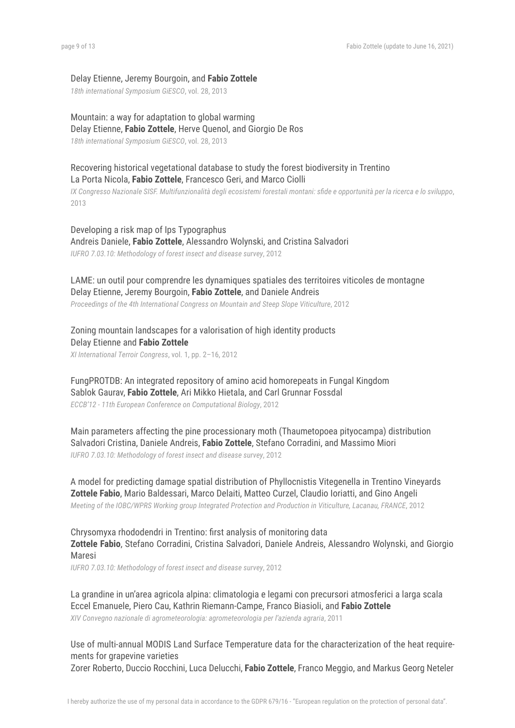#### Delay Etienne, Jeremy Bourgoin, and **Fabio Zottele**

*18th international Symposium GiESCO*, vol. 28, 2013

Mountain: a way for adaptation to global warming Delay Etienne, **Fabio Zottele**, Herve Quenol, and Giorgio De Ros *18th international Symposium GiESCO*, vol. 28, 2013

# Recovering historical vegetational database to study the forest biodiversity in Trentino La Porta Nicola, **Fabio Zottele**, Francesco Geri, and Marco Ciolli

IX Congresso Nazionale SISF. Multifunzionalità degli ecosistemi forestali montani: sfide e opportunità per la ricerca e lo sviluppo, 2013

Developing a risk map of Ips Typographus Andreis Daniele, **Fabio Zottele**, Alessandro Wolynski, and Cristina Salvadori *IUFRO 7.03.10: Methodology of forest insect and disease survey*, 2012

LAME: un outil pour comprendre les dynamiques spatiales des territoires viticoles de montagne Delay Etienne, Jeremy Bourgoin, **Fabio Zottele**, and Daniele Andreis *Proceedings of the 4th International Congress on Mountain and Steep Slope Viticulture*, 2012

Zoning mountain landscapes for a valorisation of high identity products Delay Etienne and **Fabio Zottele** *XI International Terroir Congress*, vol. 1, pp. 2–16, 2012

FungPROTDB: An integrated repository of amino acid homorepeats in Fungal Kingdom Sablok Gaurav, **Fabio Zottele**, Ari Mikko Hietala, and Carl Grunnar Fossdal *ECCB'12 - 11th European Conference on Computational Biology*, 2012

Main parameters affecting the pine processionary moth (Thaumetopoea pityocampa) distribution Salvadori Cristina, Daniele Andreis, **Fabio Zottele**, Stefano Corradini, and Massimo Miori *IUFRO 7.03.10: Methodology of forest insect and disease survey*, 2012

A model for predicting damage spatial distribution of Phyllocnistis Vitegenella in Trentino Vineyards **Zottele Fabio**, Mario Baldessari, Marco Delaiti, Matteo Curzel, Claudio Ioriatti, and Gino Angeli *Meeting of the IOBC/WPRS Working group Integrated Protection and Production in Viticulture, Lacanau, FRANCE*, 2012

Chrysomyxa rhododendri in Trentino: first analysis of monitoring data **Zottele Fabio**, Stefano Corradini, Cristina Salvadori, Daniele Andreis, Alessandro Wolynski, and Giorgio Maresi

*IUFRO 7.03.10: Methodology of forest insect and disease survey*, 2012

La grandine in un'area agricola alpina: climatologia e legami con precursori atmosferici a larga scala Eccel Emanuele, Piero Cau, Kathrin Riemann-Campe, Franco Biasioli, and **Fabio Zottele** *XIV Convegno nazionale di agrometeorologia: agrometeorologia per l'azienda agraria*, 2011

Use of multi-annual MODIS Land Surface Temperature data for the characterization of the heat requirements for grapevine varieties Zorer Roberto, Duccio Rocchini, Luca Delucchi, **Fabio Zottele**, Franco Meggio, and Markus Georg Neteler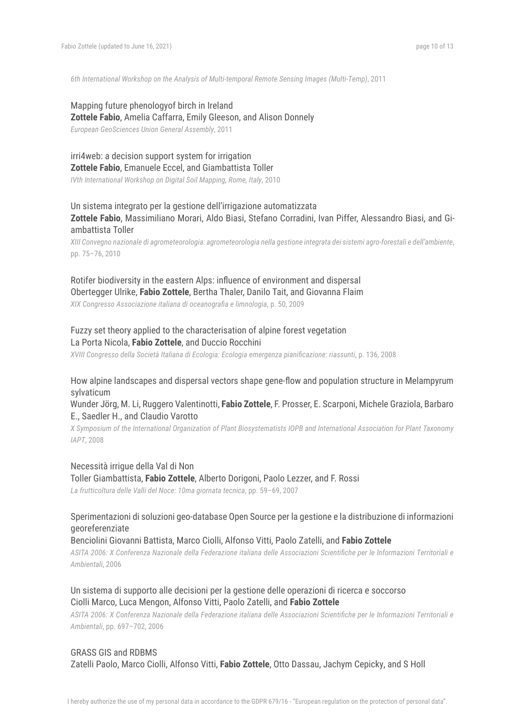*6th International Workshop on the Analysis of Multi-temporal Remote Sensing Images (Multi-Temp)*, 2011

# Mapping future phenologyof birch in Ireland **Zottele Fabio**, Amelia Caffarra, Emily Gleeson, and Alison Donnely

*European GeoSciences Union General Assembly*, 2011

# irri4web: a decision support system for irrigation **Zottele Fabio**, Emanuele Eccel, and Giambattista Toller

*IVth International Workshop on Digital Soil Mapping, Rome, Italy*, 2010

# Un sistema integrato per la gestione dell'irrigazione automatizzata **Zottele Fabio**, Massimiliano Morari, Aldo Biasi, Stefano Corradini, Ivan Piffer, Alessandro Biasi, and Giambattista Toller

XIII Convegno nazionale di agrometeorologia: agrometeorologia nella gestione integrata dei sistemi agro-forestali e dell'ambiente, pp. 75–76, 2010

# Rotifer biodiversity in the eastern Alps: influence of environment and dispersal Obertegger Ulrike, **Fabio Zottele**, Bertha Thaler, Danilo Tait, and Giovanna Flaim

*XIX Congresso Associazione italiana di oceanografia e limnologia*, p. 50, 2009

# Fuzzy set theory applied to the characterisation of alpine forest vegetation La Porta Nicola, **Fabio Zottele**, and Duccio Rocchini

*XVIII Congresso della Società Italiana di Ecologia: Ecologia emergenza pianificazione: riassunti*, p. 136, 2008

# How alpine landscapes and dispersal vectors shape gene-flow and population structure in Melampyrum sylvaticum

## Wunder Jörg, M. Li, Ruggero Valentinotti, **Fabio Zottele**, F. Prosser, E. Scarponi, Michele Graziola, Barbaro E., Saedler H., and Claudio Varotto

X Symposium of the International Organization of Plant Biosystematists IOPB and International Association for Plant Taxonomy *IAPT*, 2008

#### Necessità irrigue della Val di Non

Toller Giambattista, **Fabio Zottele**, Alberto Dorigoni, Paolo Lezzer, and F. Rossi *La frutticoltura delle Valli del Noce: 10ma giornata tecnica*, pp. 59–69, 2007

## Sperimentazioni di soluzioni geo-database Open Source per la gestione e la distribuzione di informazioni georeferenziate

#### Benciolini Giovanni Battista, Marco Ciolli, Alfonso Vitti, Paolo Zatelli, and **Fabio Zottele**

ASITA 2006: X Conferenza Nazionale della Federazione italiana delle Associazioni Scientifiche per le Informazioni Territoriali e *Ambientali*, 2006

# Un sistema di supporto alle decisioni per la gestione delle operazioni di ricerca e soccorso Ciolli Marco, Luca Mengon, Alfonso Vitti, Paolo Zatelli, and **Fabio Zottele**

ASITA 2006: X Conferenza Nazionale della Federazione italiana delle Associazioni Scientifiche per le Informazioni Territoriali e *Ambientali*, pp. 697–702, 2006

## GRASS GIS and RDBMS

Zatelli Paolo, Marco Ciolli, Alfonso Vitti, **Fabio Zottele**, Otto Dassau, Jachym Cepicky, and S Holl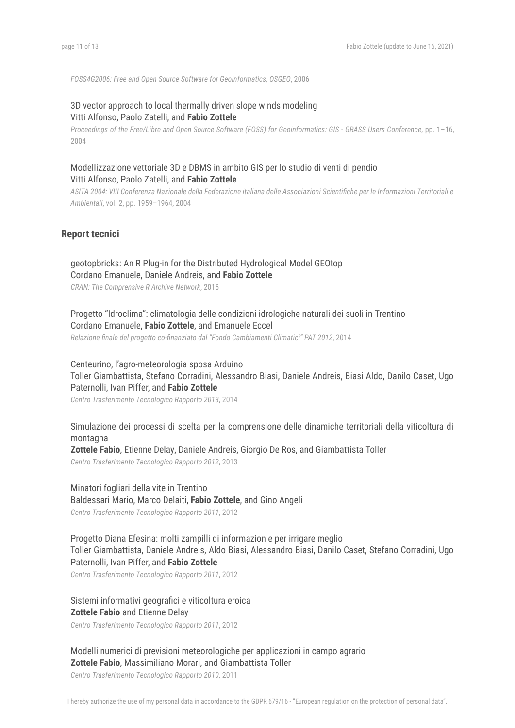*FOSS4G2006: Free and Open Source Software for Geoinformatics, OSGEO*, 2006

# 3D vector approach to local thermally driven slope winds modeling Vitti Alfonso, Paolo Zatelli, and **Fabio Zottele**

Proceedings of the Free/Libre and Open Source Software (FOSS) for Geoinformatics: GIS - GRASS Users Conference, pp. 1-16, 2004

# Modellizzazione vettoriale 3D e DBMS in ambito GIS per lo studio di venti di pendio Vitti Alfonso, Paolo Zatelli, and **Fabio Zottele**

ASITA 2004: VIII Conferenza Nazionale della Federazione italiana delle Associazioni Scientifiche per le Informazioni Territoriali e *Ambientali*, vol. 2, pp. 1959–1964, 2004

### **Report tecnici**

# geotopbricks: An R Plug-in for the Distributed Hydrological Model GEOtop Cordano Emanuele, Daniele Andreis, and **Fabio Zottele**

*CRAN: The Comprensive R Archive Network*, 2016

Progetto "Idroclima": climatologia delle condizioni idrologiche naturali dei suoli in Trentino Cordano Emanuele, **Fabio Zottele**, and Emanuele Eccel

*Relazione finale del progetto co-finanziato dal "Fondo Cambiamenti Climatici" PAT 2012*, 2014

Centeurino, l'agro-meteorologia sposa Arduino Toller Giambattista, Stefano Corradini, Alessandro Biasi, Daniele Andreis, Biasi Aldo, Danilo Caset, Ugo Paternolli, Ivan Piffer, and **Fabio Zottele**

*Centro Trasferimento Tecnologico Rapporto 2013*, 2014

Simulazione dei processi di scelta per la comprensione delle dinamiche territoriali della viticoltura di montagna

**Zottele Fabio**, Etienne Delay, Daniele Andreis, Giorgio De Ros, and Giambattista Toller *Centro Trasferimento Tecnologico Rapporto 2012*, 2013

# Minatori fogliari della vite in Trentino

Baldessari Mario, Marco Delaiti, **Fabio Zottele**, and Gino Angeli

*Centro Trasferimento Tecnologico Rapporto 2011*, 2012

Progetto Diana Efesina: molti zampilli di informazion e per irrigare meglio Toller Giambattista, Daniele Andreis, Aldo Biasi, Alessandro Biasi, Danilo Caset, Stefano Corradini, Ugo Paternolli, Ivan Piffer, and **Fabio Zottele**

*Centro Trasferimento Tecnologico Rapporto 2011*, 2012

# Sistemi informativi geografici e viticoltura eroica **Zottele Fabio** and Etienne Delay

*Centro Trasferimento Tecnologico Rapporto 2011*, 2012

Modelli numerici di previsioni meteorologiche per applicazioni in campo agrario **Zottele Fabio**, Massimiliano Morari, and Giambattista Toller

*Centro Trasferimento Tecnologico Rapporto 2010*, 2011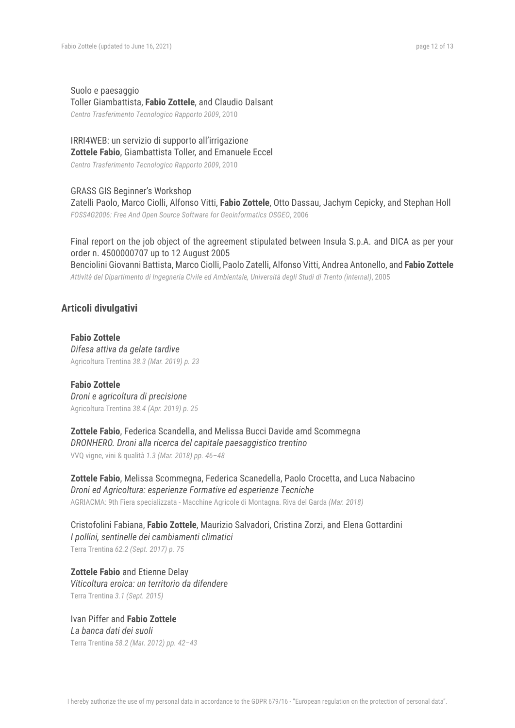Suolo e paesaggio Toller Giambattista, **Fabio Zottele**, and Claudio Dalsant *Centro Trasferimento Tecnologico Rapporto 2009*, 2010

#### IRRI4WEB: un servizio di supporto all'irrigazione **Zottele Fabio**, Giambattista Toller, and Emanuele Eccel

*Centro Trasferimento Tecnologico Rapporto 2009*, 2010

#### GRASS GIS Beginner's Workshop

Zatelli Paolo, Marco Ciolli, Alfonso Vitti, **Fabio Zottele**, Otto Dassau, Jachym Cepicky, and Stephan Holl *FOSS4G2006: Free And Open Source Software for Geoinformatics OSGEO*, 2006

Final report on the job object of the agreement stipulated between Insula S.p.A. and DICA as per your order n. 4500000707 up to 12 August 2005 Benciolini Giovanni Battista, Marco Ciolli, Paolo Zatelli, Alfonso Vitti, Andrea Antonello, and **Fabio Zottele** *Attività del Dipartimento di Ingegneria Civile ed Ambientale, Università degli Studi di Trento (internal)*, 2005

# **Articoli divulgativi**

**Fabio Zottele** *Difesa attiva da gelate tardive* Agricoltura Trentina *38.3 (Mar. 2019) p. 23*

**Fabio Zottele** *Droni e agricoltura di precisione* Agricoltura Trentina *38.4 (Apr. 2019) p. 25*

**Zottele Fabio**, Federica Scandella, and Melissa Bucci Davide amd Scommegna *DRONHERO. Droni alla ricerca del capitale paesaggistico trentino* VVQ vigne, vini & qualità *1.3 (Mar. 2018) pp. 46–48*

**Zottele Fabio**, Melissa Scommegna, Federica Scanedella, Paolo Crocetta, and Luca Nabacino *Droni ed Agricoltura: esperienze Formative ed esperienze Tecniche* AGRIACMA: 9th Fiera specializzata - Macchine Agricole di Montagna. Riva del Garda *(Mar. 2018)*

Cristofolini Fabiana, **Fabio Zottele**, Maurizio Salvadori, Cristina Zorzi, and Elena Gottardini *I pollini, sentinelle dei cambiamenti climatici* Terra Trentina *62.2 (Sept. 2017) p. 75*

**Zottele Fabio** and Etienne Delay *Viticoltura eroica: un territorio da difendere* Terra Trentina *3.1 (Sept. 2015)*

Ivan Piffer and **Fabio Zottele** *La banca dati dei suoli* Terra Trentina *58.2 (Mar. 2012) pp. 42–43*